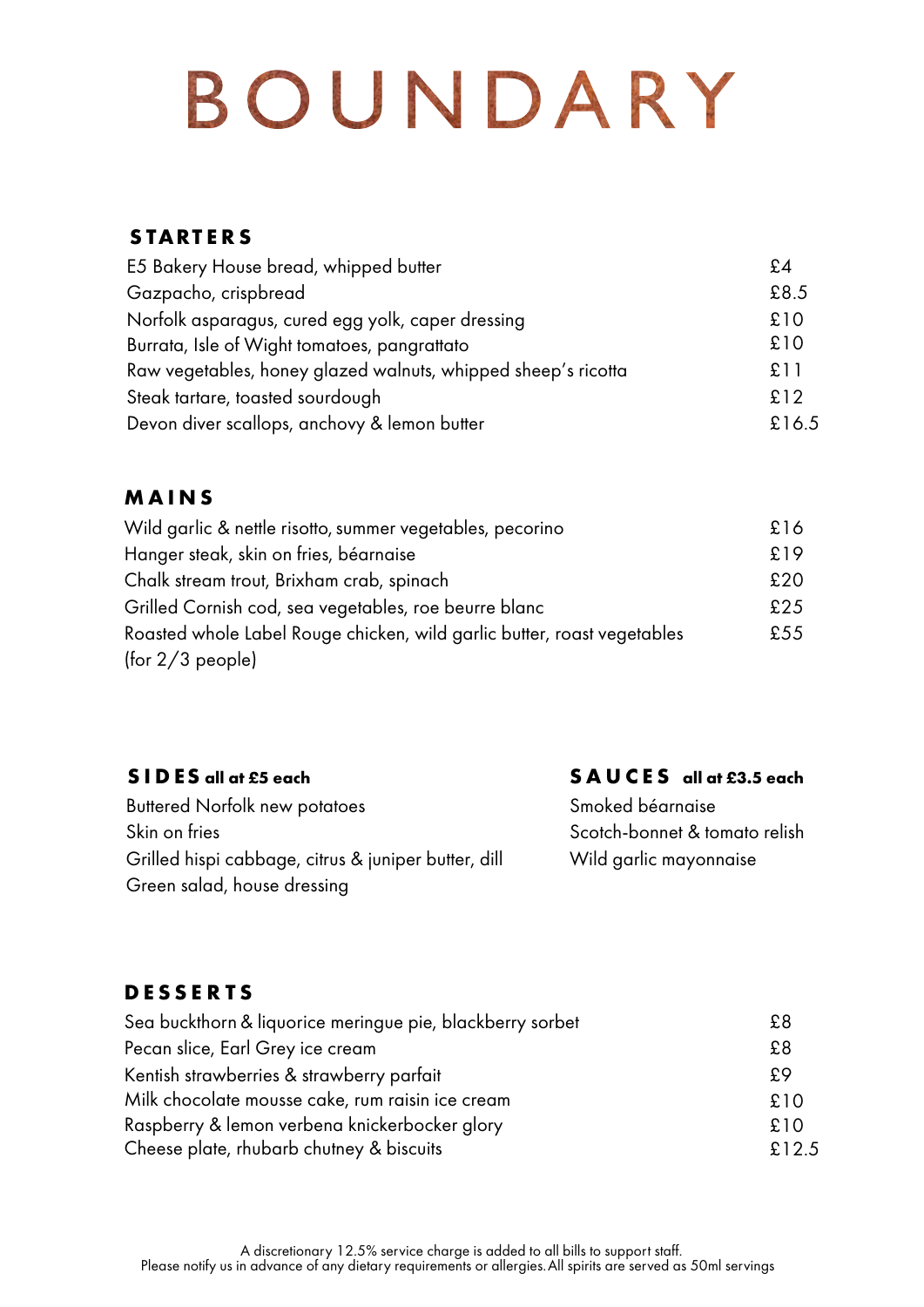# BOUNDARY

#### **S TART E R S**

| E5 Bakery House bread, whipped butter                         | £4    |
|---------------------------------------------------------------|-------|
| Gazpacho, crispbread                                          | £8.5  |
| Norfolk asparagus, cured egg yolk, caper dressing             | £10   |
| Burrata, Isle of Wight tomatoes, pangrattato                  | £10   |
| Raw vegetables, honey glazed walnuts, whipped sheep's ricotta | £11   |
| Steak tartare, toasted sourdough                              | £12   |
| Devon diver scallops, anchovy & lemon butter                  | £16.5 |

#### **M A I N S**

| Wild garlic & nettle risotto, summer vegetables, pecorino               | £16 |
|-------------------------------------------------------------------------|-----|
| Hanger steak, skin on fries, béarnaise                                  | £19 |
| Chalk stream trout, Brixham crab, spinach                               | £20 |
| Grilled Cornish cod, sea vegetables, roe beurre blanc                   | £25 |
| Roasted whole Label Rouge chicken, wild garlic butter, roast vegetables | £55 |
| (for 2/3 people)                                                        |     |

#### **S I D ES all at £5 each**

#### **S A U C E S all at £3.5 each**

Buttered Norfolk new potatoes Skin on fries Grilled hispi cabbage, citrus & juniper butter, dill Green salad, house dressing

Smoked béarnaise Scotch-bonnet & tomato relish Wild garlic mayonnaise

#### **D E S S E R T S**

| Sea buckthorn & liquorice meringue pie, blackberry sorbet | £8    |
|-----------------------------------------------------------|-------|
| Pecan slice, Earl Grey ice cream                          | £8    |
| Kentish strawberries & strawberry parfait                 | £9    |
| Milk chocolate mousse cake, rum raisin ice cream          | £10   |
| Raspberry & lemon verbena knickerbocker glory             | £10   |
| Cheese plate, rhubarb chutney & biscuits                  | £12.5 |